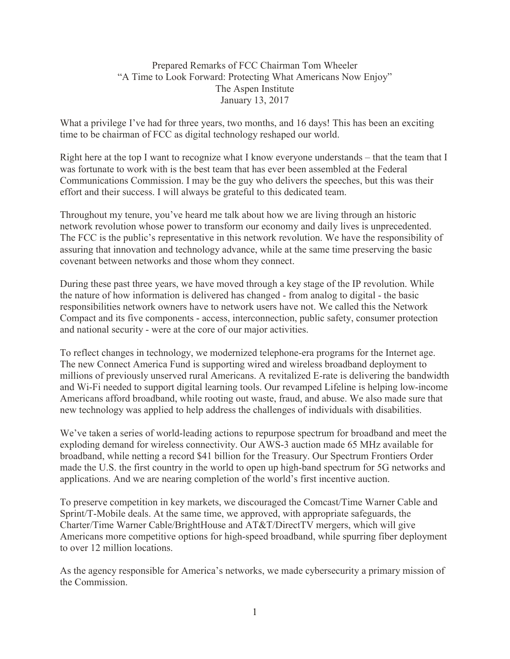Prepared Remarks of FCC Chairman Tom Wheeler "A Time to Look Forward: Protecting What Americans Now Enjoy" The Aspen Institute January 13, 2017

What a privilege I've had for three years, two months, and 16 days! This has been an exciting time to be chairman of FCC as digital technology reshaped our world.

Right here at the top I want to recognize what I know everyone understands – that the team that I was fortunate to work with is the best team that has ever been assembled at the Federal Communications Commission. I may be the guy who delivers the speeches, but this was their effort and their success. I will always be grateful to this dedicated team.

Throughout my tenure, you've heard me talk about how we are living through an historic network revolution whose power to transform our economy and daily lives is unprecedented. The FCC is the public's representative in this network revolution. We have the responsibility of assuring that innovation and technology advance, while at the same time preserving the basic covenant between networks and those whom they connect.

During these past three years, we have moved through a key stage of the IP revolution. While the nature of how information is delivered has changed - from analog to digital - the basic responsibilities network owners have to network users have not. We called this the Network Compact and its five components - access, interconnection, public safety, consumer protection and national security - were at the core of our major activities.

To reflect changes in technology, we modernized telephone-era programs for the Internet age. The new Connect America Fund is supporting wired and wireless broadband deployment to millions of previously unserved rural Americans. A revitalized E-rate is delivering the bandwidth and Wi-Fi needed to support digital learning tools. Our revamped Lifeline is helping low-income Americans afford broadband, while rooting out waste, fraud, and abuse. We also made sure that new technology was applied to help address the challenges of individuals with disabilities.

We've taken a series of world-leading actions to repurpose spectrum for broadband and meet the exploding demand for wireless connectivity. Our AWS-3 auction made 65 MHz available for broadband, while netting a record \$41 billion for the Treasury. Our Spectrum Frontiers Order made the U.S. the first country in the world to open up high-band spectrum for 5G networks and applications. And we are nearing completion of the world's first incentive auction.

To preserve competition in key markets, we discouraged the Comcast/Time Warner Cable and Sprint/T-Mobile deals. At the same time, we approved, with appropriate safeguards, the Charter/Time Warner Cable/BrightHouse and AT&T/DirectTV mergers, which will give Americans more competitive options for high-speed broadband, while spurring fiber deployment to over 12 million locations.

As the agency responsible for America's networks, we made cybersecurity a primary mission of the Commission.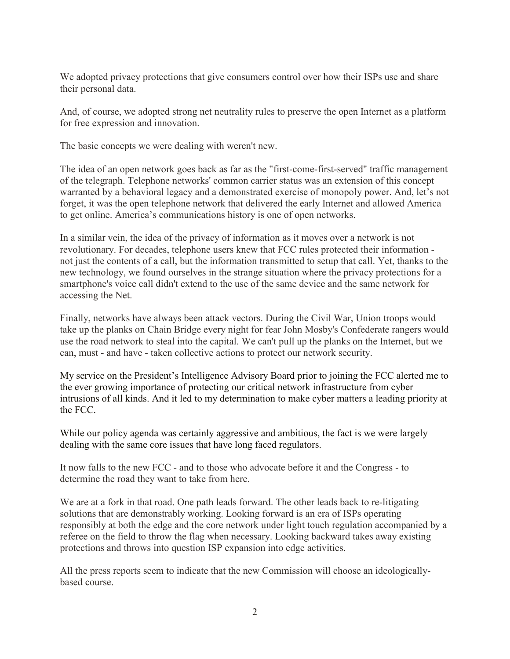We adopted privacy protections that give consumers control over how their ISPs use and share their personal data.

And, of course, we adopted strong net neutrality rules to preserve the open Internet as a platform for free expression and innovation.

The basic concepts we were dealing with weren't new.

The idea of an open network goes back as far as the "first-come-first-served" traffic management of the telegraph. Telephone networks' common carrier status was an extension of this concept warranted by a behavioral legacy and a demonstrated exercise of monopoly power. And, let's not forget, it was the open telephone network that delivered the early Internet and allowed America to get online. America's communications history is one of open networks.

In a similar vein, the idea of the privacy of information as it moves over a network is not revolutionary. For decades, telephone users knew that FCC rules protected their information not just the contents of a call, but the information transmitted to setup that call. Yet, thanks to the new technology, we found ourselves in the strange situation where the privacy protections for a smartphone's voice call didn't extend to the use of the same device and the same network for accessing the Net.

Finally, networks have always been attack vectors. During the Civil War, Union troops would take up the planks on Chain Bridge every night for fear John Mosby's Confederate rangers would use the road network to steal into the capital. We can't pull up the planks on the Internet, but we can, must - and have - taken collective actions to protect our network security.

My service on the President's Intelligence Advisory Board prior to joining the FCC alerted me to the ever growing importance of protecting our critical network infrastructure from cyber intrusions of all kinds. And it led to my determination to make cyber matters a leading priority at the FCC.

While our policy agenda was certainly aggressive and ambitious, the fact is we were largely dealing with the same core issues that have long faced regulators.

It now falls to the new FCC - and to those who advocate before it and the Congress - to determine the road they want to take from here.

We are at a fork in that road. One path leads forward. The other leads back to re-litigating solutions that are demonstrably working. Looking forward is an era of ISPs operating responsibly at both the edge and the core network under light touch regulation accompanied by a referee on the field to throw the flag when necessary. Looking backward takes away existing protections and throws into question ISP expansion into edge activities.

All the press reports seem to indicate that the new Commission will choose an ideologicallybased course.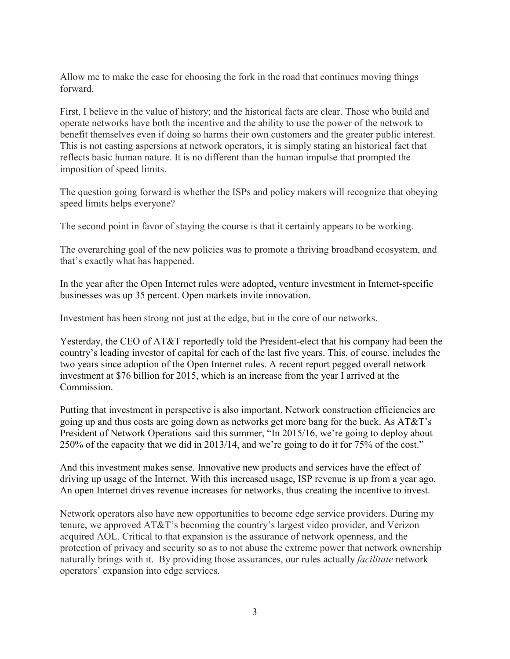Allow me to make the case for choosing the fork in the road that continues moving things forward.

First, I believe in the value of history; and the historical facts are clear. Those who build and operate networks have both the incentive and the ability to use the power of the network to benefit themselves even if doing so harms their own customers and the greater public interest. This is not casting aspersions at network operators, it is simply stating an historical fact that reflects basic human nature. It is no different than the human impulse that prompted the imposition of speed limits.

The question going forward is whether the ISPs and policy makers will recognize that obeying speed limits helps everyone?

The second point in favor of staying the course is that it certainly appears to be working.

The overarching goal of the new policies was to promote a thriving broadband ecosystem, and that's exactly what has happened.

In the year after the Open Internet rules were adopted, venture investment in Internet-specific businesses was up 35 percent. Open markets invite innovation.

Investment has been strong not just at the edge, but in the core of our networks.

Yesterday, the CEO of AT&T reportedly told the President-elect that his company had been the country's leading investor of capital for each of the last five years. This, of course, includes the two years since adoption of the Open Internet rules. A recent report pegged overall network investment at \$76 billion for 2015, which is an increase from the year I arrived at the Commission.

Putting that investment in perspective is also important. Network construction efficiencies are going up and thus costs are going down as networks get more bang for the buck. As AT&T's President of Network Operations said this summer, "In 2015/16, we're going to deploy about 250% of the capacity that we did in 2013/14, and we're going to do it for 75% of the cost."

And this investment makes sense. Innovative new products and services have the effect of driving up usage of the Internet. With this increased usage, ISP revenue is up from a year ago. An open Internet drives revenue increases for networks, thus creating the incentive to invest.

Network operators also have new opportunities to become edge service providers. During my tenure, we approved AT&T's becoming the country's largest video provider, and Verizon acquired AOL. Critical to that expansion is the assurance of network openness, and the protection of privacy and security so as to not abuse the extreme power that network ownership naturally brings with it. By providing those assurances, our rules actually *facilitate* network operators' expansion into edge services.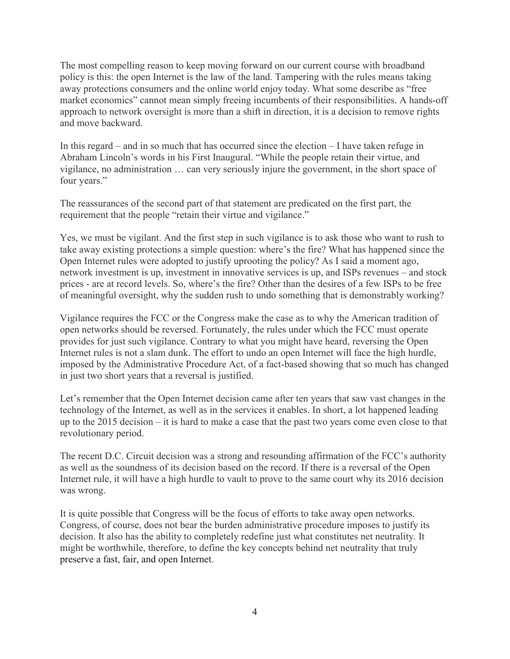The most compelling reason to keep moving forward on our current course with broadband policy is this: the open Internet is the law of the land. Tampering with the rules means taking away protections consumers and the online world enjoy today. What some describe as "free market economics" cannot mean simply freeing incumbents of their responsibilities. A hands-off approach to network oversight is more than a shift in direction, it is a decision to remove rights and move backward.

In this regard – and in so much that has occurred since the election – I have taken refuge in Abraham Lincoln's words in his First Inaugural. "While the people retain their virtue, and vigilance, no administration … can very seriously injure the government, in the short space of four years."

The reassurances of the second part of that statement are predicated on the first part, the requirement that the people "retain their virtue and vigilance."

Yes, we must be vigilant. And the first step in such vigilance is to ask those who want to rush to take away existing protections a simple question: where's the fire? What has happened since the Open Internet rules were adopted to justify uprooting the policy? As I said a moment ago, network investment is up, investment in innovative services is up, and ISPs revenues – and stock prices - are at record levels. So, where's the fire? Other than the desires of a few ISPs to be free of meaningful oversight, why the sudden rush to undo something that is demonstrably working?

Vigilance requires the FCC or the Congress make the case as to why the American tradition of open networks should be reversed. Fortunately, the rules under which the FCC must operate provides for just such vigilance. Contrary to what you might have heard, reversing the Open Internet rules is not a slam dunk. The effort to undo an open Internet will face the high hurdle, imposed by the Administrative Procedure Act, of a fact-based showing that so much has changed in just two short years that a reversal is justified.

Let's remember that the Open Internet decision came after ten years that saw vast changes in the technology of the Internet, as well as in the services it enables. In short, a lot happened leading up to the 2015 decision – it is hard to make a case that the past two years come even close to that revolutionary period.

The recent D.C. Circuit decision was a strong and resounding affirmation of the FCC's authority as well as the soundness of its decision based on the record. If there is a reversal of the Open Internet rule, it will have a high hurdle to vault to prove to the same court why its 2016 decision was wrong.

It is quite possible that Congress will be the focus of efforts to take away open networks. Congress, of course, does not bear the burden administrative procedure imposes to justify its decision. It also has the ability to completely redefine just what constitutes net neutrality. It might be worthwhile, therefore, to define the key concepts behind net neutrality that truly preserve a fast, fair, and open Internet.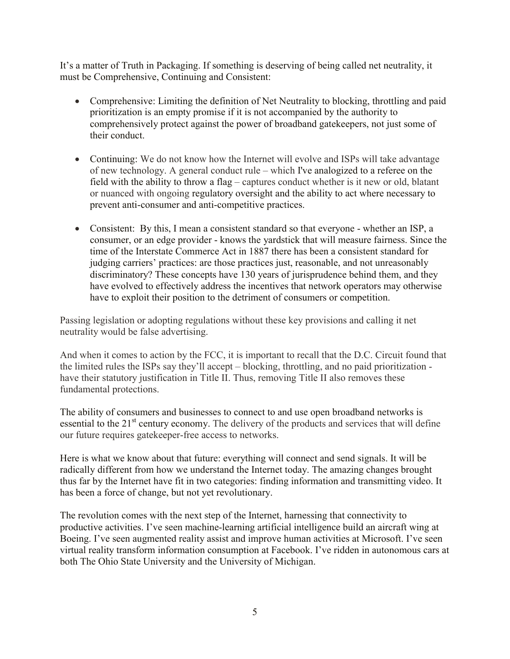It's a matter of Truth in Packaging. If something is deserving of being called net neutrality, it must be Comprehensive, Continuing and Consistent:

- Comprehensive: Limiting the definition of Net Neutrality to blocking, throttling and paid prioritization is an empty promise if it is not accompanied by the authority to comprehensively protect against the power of broadband gatekeepers, not just some of their conduct.
- Continuing: We do not know how the Internet will evolve and ISPs will take advantage of new technology. A general conduct rule – which I've analogized to a referee on the field with the ability to throw a flag – captures conduct whether is it new or old, blatant or nuanced with ongoing regulatory oversight and the ability to act where necessary to prevent anti-consumer and anti-competitive practices.
- Consistent: By this, I mean a consistent standard so that everyone whether an ISP, a consumer, or an edge provider - knows the yardstick that will measure fairness. Since the time of the Interstate Commerce Act in 1887 there has been a consistent standard for judging carriers' practices: are those practices just, reasonable, and not unreasonably discriminatory? These concepts have 130 years of jurisprudence behind them, and they have evolved to effectively address the incentives that network operators may otherwise have to exploit their position to the detriment of consumers or competition.

Passing legislation or adopting regulations without these key provisions and calling it net neutrality would be false advertising.

And when it comes to action by the FCC, it is important to recall that the D.C. Circuit found that the limited rules the ISPs say they'll accept – blocking, throttling, and no paid prioritization have their statutory justification in Title II. Thus, removing Title II also removes these fundamental protections.

The ability of consumers and businesses to connect to and use open broadband networks is essential to the  $21<sup>st</sup>$  century economy. The delivery of the products and services that will define our future requires gatekeeper-free access to networks.

Here is what we know about that future: everything will connect and send signals. It will be radically different from how we understand the Internet today. The amazing changes brought thus far by the Internet have fit in two categories: finding information and transmitting video. It has been a force of change, but not yet revolutionary.

The revolution comes with the next step of the Internet, harnessing that connectivity to productive activities. I've seen machine-learning artificial intelligence build an aircraft wing at Boeing. I've seen augmented reality assist and improve human activities at Microsoft. I've seen virtual reality transform information consumption at Facebook. I've ridden in autonomous cars at both The Ohio State University and the University of Michigan.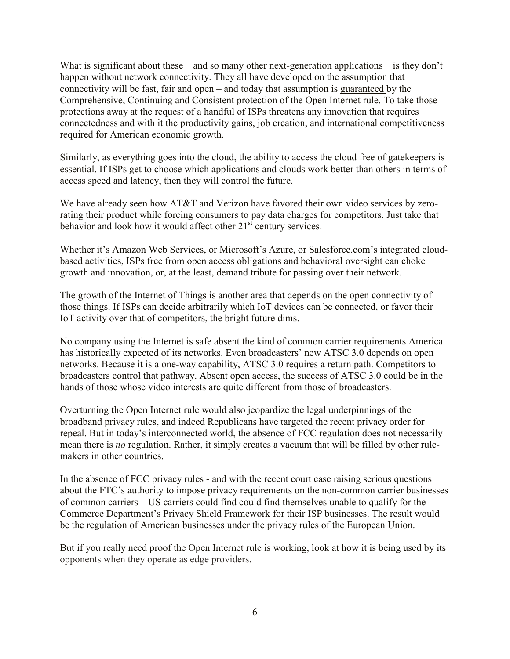What is significant about these – and so many other next-generation applications – is they don't happen without network connectivity. They all have developed on the assumption that connectivity will be fast, fair and open – and today that assumption is guaranteed by the Comprehensive, Continuing and Consistent protection of the Open Internet rule. To take those protections away at the request of a handful of ISPs threatens any innovation that requires connectedness and with it the productivity gains, job creation, and international competitiveness required for American economic growth.

Similarly, as everything goes into the cloud, the ability to access the cloud free of gatekeepers is essential. If ISPs get to choose which applications and clouds work better than others in terms of access speed and latency, then they will control the future.

We have already seen how AT&T and Verizon have favored their own video services by zerorating their product while forcing consumers to pay data charges for competitors. Just take that behavior and look how it would affect other  $21<sup>st</sup>$  century services.

Whether it's Amazon Web Services, or Microsoft's Azure, or Salesforce.com's integrated cloudbased activities, ISPs free from open access obligations and behavioral oversight can choke growth and innovation, or, at the least, demand tribute for passing over their network.

The growth of the Internet of Things is another area that depends on the open connectivity of those things. If ISPs can decide arbitrarily which IoT devices can be connected, or favor their IoT activity over that of competitors, the bright future dims.

No company using the Internet is safe absent the kind of common carrier requirements America has historically expected of its networks. Even broadcasters' new ATSC 3.0 depends on open networks. Because it is a one-way capability, ATSC 3.0 requires a return path. Competitors to broadcasters control that pathway. Absent open access, the success of ATSC 3.0 could be in the hands of those whose video interests are quite different from those of broadcasters.

Overturning the Open Internet rule would also jeopardize the legal underpinnings of the broadband privacy rules, and indeed Republicans have targeted the recent privacy order for repeal. But in today's interconnected world, the absence of FCC regulation does not necessarily mean there is *no* regulation. Rather, it simply creates a vacuum that will be filled by other rulemakers in other countries.

In the absence of FCC privacy rules - and with the recent court case raising serious questions about the FTC's authority to impose privacy requirements on the non-common carrier businesses of common carriers – US carriers could find could find themselves unable to qualify for the Commerce Department's Privacy Shield Framework for their ISP businesses. The result would be the regulation of American businesses under the privacy rules of the European Union.

But if you really need proof the Open Internet rule is working, look at how it is being used by its opponents when they operate as edge providers.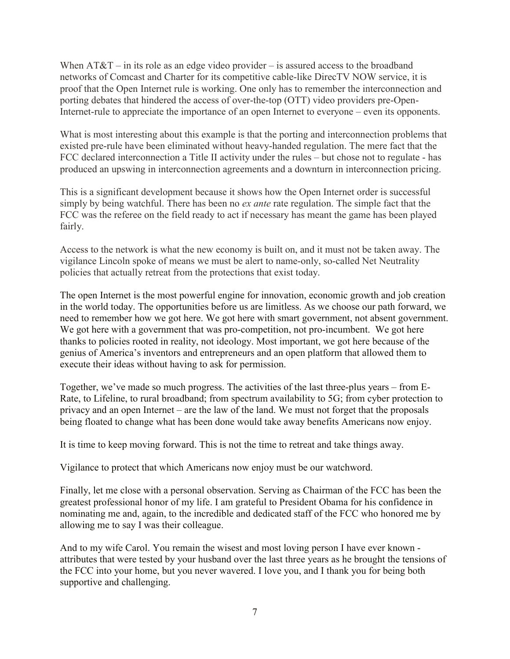When  $AT&T$  – in its role as an edge video provider – is assured access to the broadband networks of Comcast and Charter for its competitive cable-like DirecTV NOW service, it is proof that the Open Internet rule is working. One only has to remember the interconnection and porting debates that hindered the access of over-the-top (OTT) video providers pre-Open-Internet-rule to appreciate the importance of an open Internet to everyone – even its opponents.

What is most interesting about this example is that the porting and interconnection problems that existed pre-rule have been eliminated without heavy-handed regulation. The mere fact that the FCC declared interconnection a Title II activity under the rules – but chose not to regulate - has produced an upswing in interconnection agreements and a downturn in interconnection pricing.

This is a significant development because it shows how the Open Internet order is successful simply by being watchful. There has been no *ex ante* rate regulation. The simple fact that the FCC was the referee on the field ready to act if necessary has meant the game has been played fairly.

Access to the network is what the new economy is built on, and it must not be taken away. The vigilance Lincoln spoke of means we must be alert to name-only, so-called Net Neutrality policies that actually retreat from the protections that exist today.

The open Internet is the most powerful engine for innovation, economic growth and job creation in the world today. The opportunities before us are limitless. As we choose our path forward, we need to remember how we got here. We got here with smart government, not absent government. We got here with a government that was pro-competition, not pro-incumbent. We got here thanks to policies rooted in reality, not ideology. Most important, we got here because of the genius of America's inventors and entrepreneurs and an open platform that allowed them to execute their ideas without having to ask for permission.

Together, we've made so much progress. The activities of the last three-plus years – from E-Rate, to Lifeline, to rural broadband; from spectrum availability to 5G; from cyber protection to privacy and an open Internet – are the law of the land. We must not forget that the proposals being floated to change what has been done would take away benefits Americans now enjoy.

It is time to keep moving forward. This is not the time to retreat and take things away.

Vigilance to protect that which Americans now enjoy must be our watchword.

Finally, let me close with a personal observation. Serving as Chairman of the FCC has been the greatest professional honor of my life. I am grateful to President Obama for his confidence in nominating me and, again, to the incredible and dedicated staff of the FCC who honored me by allowing me to say I was their colleague.

And to my wife Carol. You remain the wisest and most loving person I have ever known attributes that were tested by your husband over the last three years as he brought the tensions of the FCC into your home, but you never wavered. I love you, and I thank you for being both supportive and challenging.